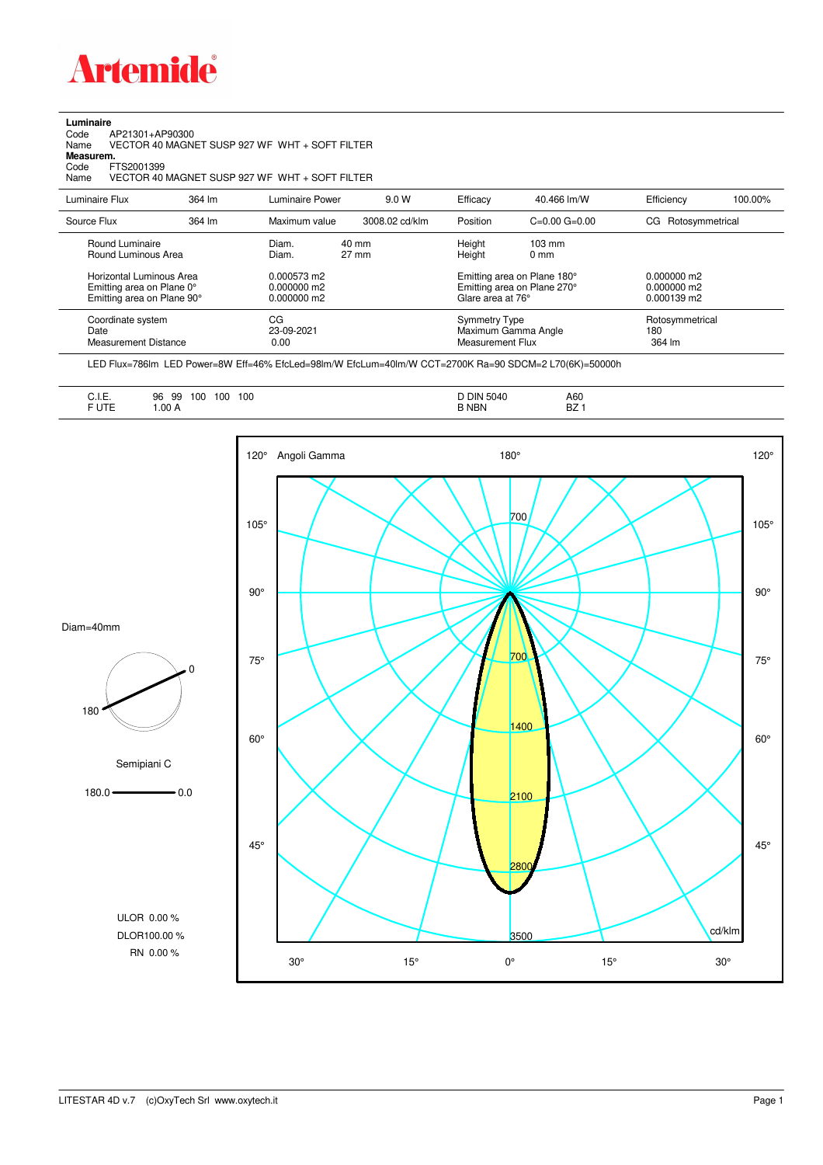

**Luminaire**

## Code AP21301+AP90300 Name VECTOR 40 MAGNET SUSP 927 WF WHT + SOFT FILTER Code A<br>Name V<br>**Measurem.** Code FTS2001399<br>Name VECTOR 40 VECTOR 40 MAGNET SUSP 927 WF WHT + SOFT FILTER Luminaire Flux 364 lm Luminaire Power 9.0 W Efficacy 40.466 lm/W Efficiency 100.00% Source Flux 364 lm Maximum value 3008.02 cd/klm Position C=0.00 G=0.00 CG Rotosymmetrical Round Luminaire Diam. 40 mm Height 103 mm Round Luminous Area Horizontal Luminous Area 0.000573 m2 Emitting area on Plane 180° 0.000000 m2

| Emitting area on Plane 0°<br>Emitting area on Plane 90° | 0.000000 m2<br>$0.000000 \text{ m}$ 2 | Emitting area on Plane 270°<br>Glare area at 76° | 0.000000 m2<br>$0.000139$ m2 |  |
|---------------------------------------------------------|---------------------------------------|--------------------------------------------------|------------------------------|--|
| Coordinate system                                       | CG                                    | <b>Symmetry Type</b>                             | Rotosymmetrical              |  |
| Date                                                    | 23-09-2021                            | Maximum Gamma Angle                              | 180                          |  |
| Measurement Distance                                    | 0.00                                  | Measurement Flux                                 | 364 lm                       |  |

LED Flux=786lm LED Power=8W Eff=46% EfcLed=98lm/W EfcLum=40lm/W CCT=2700K Ra=90 SDCM=2 L70(6K)=50000h

| -<br>◡…<br>F UTE | 100<br>100<br>96<br>99<br>100<br>.00A | <b>DIN 5040</b><br><b>B NBN</b> | A60<br><b>BZ</b> |
|------------------|---------------------------------------|---------------------------------|------------------|
|                  |                                       |                                 |                  |